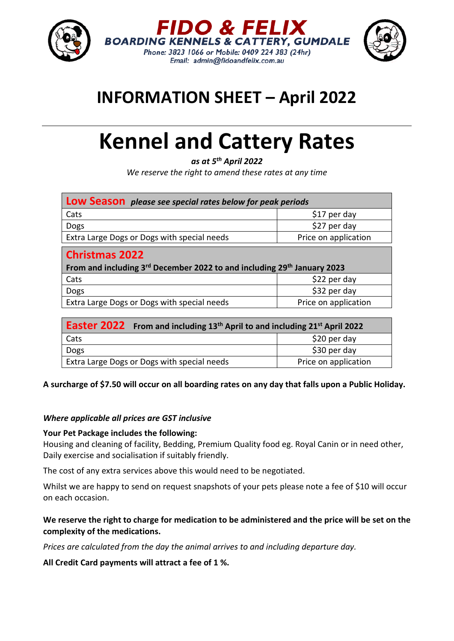

## **INFORMATION SHEET – April 2022**

# **Kennel and Cattery Rates**

*as at 5th April 2022 We reserve the right to amend these rates at any time*

| <b>Low Season</b> please see special rates below for peak periods                                                        |                      |
|--------------------------------------------------------------------------------------------------------------------------|----------------------|
| Cats                                                                                                                     | \$17 per day         |
| Dogs                                                                                                                     | \$27 per day         |
| Extra Large Dogs or Dogs with special needs                                                                              | Price on application |
| <b>Christmas 2022</b><br>From and including 3 <sup>rd</sup> December 2022 to and including 29 <sup>th</sup> January 2023 |                      |
| Cats                                                                                                                     | \$22 per day         |
| Dogs                                                                                                                     | \$32 per day         |
| Extra Large Dogs or Dogs with special needs                                                                              | Price on application |

| <b>Easter 2022</b> From and including 13 <sup>th</sup> April to and including 21 <sup>st</sup> April 2022 |                      |
|-----------------------------------------------------------------------------------------------------------|----------------------|
| Cats                                                                                                      | \$20 per day         |
| Dogs                                                                                                      | \$30 per day         |
| Extra Large Dogs or Dogs with special needs                                                               | Price on application |

A surcharge of \$7.50 will occur on all boarding rates on any day that falls upon a Public Holiday.

#### *Where applicable all prices are GST inclusive*

#### **Your Pet Package includes the following:**

Housing and cleaning of facility, Bedding, Premium Quality food eg. Royal Canin or in need other, Daily exercise and socialisation if suitably friendly.

The cost of any extra services above this would need to be negotiated.

Whilst we are happy to send on request snapshots of your pets please note a fee of \$10 will occur on each occasion.

#### We reserve the right to charge for medication to be administered and the price will be set on the **complexity of the medications.**

*Prices are calculated from the day the animal arrives to and including departure day.*

**All Credit Card payments will attract a fee of 1 %.**